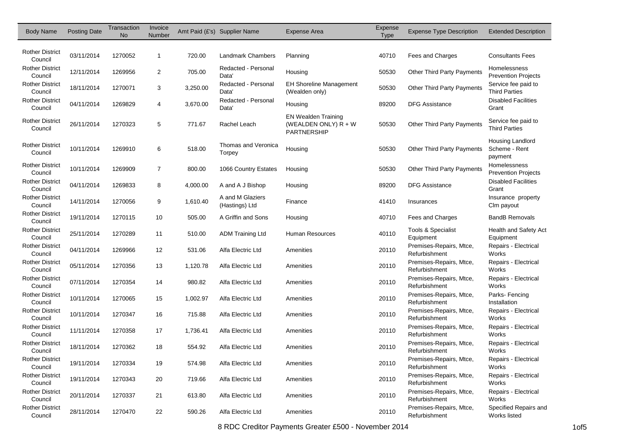| <b>Body Name</b>                  | <b>Posting Date</b> | Transaction<br><b>No</b> | Invoice<br>Number |          | Amt Paid (£'s) Supplier Name             | <b>Expense Area</b>                                                        | Expense<br>Type | <b>Expense Type Description</b>          | <b>Extended Description</b>                  |
|-----------------------------------|---------------------|--------------------------|-------------------|----------|------------------------------------------|----------------------------------------------------------------------------|-----------------|------------------------------------------|----------------------------------------------|
|                                   |                     |                          |                   |          |                                          |                                                                            |                 |                                          |                                              |
| <b>Rother District</b><br>Council | 03/11/2014          | 1270052                  | $\mathbf{1}$      | 720.00   | Landmark Chambers                        | Planning                                                                   | 40710           | Fees and Charges                         | <b>Consultants Fees</b>                      |
| <b>Rother District</b><br>Council | 12/11/2014          | 1269956                  | $\overline{2}$    | 705.00   | Redacted - Personal<br>Data <sup>'</sup> | Housing                                                                    | 50530           | <b>Other Third Party Payments</b>        | Homelessness<br><b>Prevention Projects</b>   |
| <b>Rother District</b><br>Council | 18/11/2014          | 1270071                  | 3                 | 3,250.00 | Redacted - Personal<br>Data <sup>'</sup> | <b>EH Shoreline Management</b><br>(Wealden only)                           | 50530           | Other Third Party Payments               | Service fee paid to<br><b>Third Parties</b>  |
| <b>Rother District</b><br>Council | 04/11/2014          | 1269829                  | 4                 | 3,670.00 | Redacted - Personal<br>Data <sup>'</sup> | Housing                                                                    | 89200           | <b>DFG Assistance</b>                    | <b>Disabled Facilities</b><br>Grant          |
| <b>Rother District</b><br>Council | 26/11/2014          | 1270323                  | 5                 | 771.67   | Rachel Leach                             | <b>EN Wealden Training</b><br>(WEALDEN ONLY) $R + W$<br><b>PARTNERSHIP</b> | 50530           | <b>Other Third Party Payments</b>        | Service fee paid to<br><b>Third Parties</b>  |
| <b>Rother District</b><br>Council | 10/11/2014          | 1269910                  | 6                 | 518.00   | Thomas and Veronica<br>Torpey            | Housing                                                                    | 50530           | <b>Other Third Party Payments</b>        | Housing Landlord<br>Scheme - Rent<br>payment |
| <b>Rother District</b><br>Council | 10/11/2014          | 1269909                  | $\overline{7}$    | 800.00   | 1066 Country Estates                     | Housing                                                                    | 50530           | <b>Other Third Party Payments</b>        | Homelessness<br><b>Prevention Projects</b>   |
| <b>Rother District</b><br>Council | 04/11/2014          | 1269833                  | 8                 | 4,000.00 | A and A J Bishop                         | Housing                                                                    | 89200           | <b>DFG Assistance</b>                    | <b>Disabled Facilities</b><br>Grant          |
| <b>Rother District</b><br>Council | 14/11/2014          | 1270056                  | 9                 | 1,610.40 | A and M Glaziers<br>(Hastings) Ltd       | Finance                                                                    | 41410           | Insurances                               | Insurance property<br>Clm payout             |
| <b>Rother District</b><br>Council | 19/11/2014          | 1270115                  | 10                | 505.00   | A Griffin and Sons                       | Housing                                                                    | 40710           | Fees and Charges                         | <b>BandB Removals</b>                        |
| <b>Rother District</b><br>Council | 25/11/2014          | 1270289                  | 11                | 510.00   | <b>ADM Training Ltd</b>                  | Human Resources                                                            | 40110           | Tools & Specialist<br>Equipment          | Health and Safety Act<br>Equipment           |
| <b>Rother District</b><br>Council | 04/11/2014          | 1269966                  | 12                | 531.06   | Alfa Electric Ltd                        | Amenities                                                                  | 20110           | Premises-Repairs, Mtce,<br>Refurbishment | Repairs - Electrical<br>Works                |
| <b>Rother District</b><br>Council | 05/11/2014          | 1270356                  | 13                | 1,120.78 | Alfa Electric Ltd                        | Amenities                                                                  | 20110           | Premises-Repairs, Mtce,<br>Refurbishment | Repairs - Electrical<br>Works                |
| <b>Rother District</b><br>Council | 07/11/2014          | 1270354                  | 14                | 980.82   | Alfa Electric Ltd                        | Amenities                                                                  | 20110           | Premises-Repairs, Mtce,<br>Refurbishment | Repairs - Electrical<br>Works                |
| <b>Rother District</b><br>Council | 10/11/2014          | 1270065                  | 15                | 1,002.97 | Alfa Electric Ltd                        | Amenities                                                                  | 20110           | Premises-Repairs, Mtce,<br>Refurbishment | Parks-Fencing<br>Installation                |
| <b>Rother District</b><br>Council | 10/11/2014          | 1270347                  | 16                | 715.88   | Alfa Electric Ltd                        | Amenities                                                                  | 20110           | Premises-Repairs, Mtce,<br>Refurbishment | Repairs - Electrical<br>Works                |
| <b>Rother District</b><br>Council | 11/11/2014          | 1270358                  | 17                | 1,736.41 | Alfa Electric Ltd                        | Amenities                                                                  | 20110           | Premises-Repairs, Mtce,<br>Refurbishment | Repairs - Electrical<br>Works                |
| <b>Rother District</b><br>Council | 18/11/2014          | 1270362                  | 18                | 554.92   | Alfa Electric Ltd                        | Amenities                                                                  | 20110           | Premises-Repairs, Mtce,<br>Refurbishment | Repairs - Electrical<br>Works                |
| <b>Rother District</b><br>Council | 19/11/2014          | 1270334                  | 19                | 574.98   | Alfa Electric Ltd                        | Amenities                                                                  | 20110           | Premises-Repairs, Mtce,<br>Refurbishment | Repairs - Electrical<br>Works                |
| <b>Rother District</b><br>Council | 19/11/2014          | 1270343                  | 20                | 719.66   | Alfa Electric Ltd                        | Amenities                                                                  | 20110           | Premises-Repairs, Mtce,<br>Refurbishment | Repairs - Electrical<br>Works                |
| <b>Rother District</b><br>Council | 20/11/2014          | 1270337                  | 21                | 613.80   | Alfa Electric Ltd                        | Amenities                                                                  | 20110           | Premises-Repairs, Mtce,<br>Refurbishment | Repairs - Electrical<br>Works                |
| <b>Rother District</b><br>Council | 28/11/2014          | 1270470                  | 22                | 590.26   | Alfa Electric Ltd                        | Amenities                                                                  | 20110           | Premises-Repairs, Mtce,<br>Refurbishment | Specified Repairs and<br>Works listed        |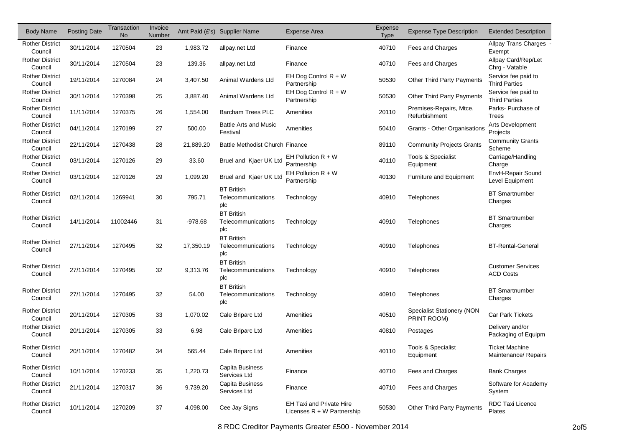| <b>Body Name</b>                  | <b>Posting Date</b> | Transaction<br><b>No</b> | Invoice<br>Number |           | Amt Paid (£'s) Supplier Name                   | Expense Area                                                    | Expense<br>Type | <b>Expense Type Description</b>           | <b>Extended Description</b>                   |
|-----------------------------------|---------------------|--------------------------|-------------------|-----------|------------------------------------------------|-----------------------------------------------------------------|-----------------|-------------------------------------------|-----------------------------------------------|
| <b>Rother District</b><br>Council | 30/11/2014          | 1270504                  | 23                | 1,983.72  | allpay.net Ltd                                 | Finance                                                         | 40710           | Fees and Charges                          | Allpay Trans Charges -<br>Exempt              |
| <b>Rother District</b><br>Council | 30/11/2014          | 1270504                  | 23                | 139.36    | allpay.net Ltd                                 | Finance                                                         | 40710           | Fees and Charges                          | Allpay Card/Rep/Let<br>Chrg - Vatable         |
| <b>Rother District</b><br>Council | 19/11/2014          | 1270084                  | 24                | 3,407.50  | Animal Wardens Ltd                             | EH Dog Control R + W<br>Partnership                             | 50530           | <b>Other Third Party Payments</b>         | Service fee paid to<br><b>Third Parties</b>   |
| <b>Rother District</b><br>Council | 30/11/2014          | 1270398                  | 25                | 3,887.40  | Animal Wardens Ltd                             | EH Dog Control $R + W$<br>Partnership                           | 50530           | Other Third Party Payments                | Service fee paid to<br><b>Third Parties</b>   |
| <b>Rother District</b><br>Council | 11/11/2014          | 1270375                  | 26                | 1,554.00  | <b>Barcham Trees PLC</b>                       | Amenities                                                       | 20110           | Premises-Repairs, Mtce,<br>Refurbishment  | Parks- Purchase of<br><b>Trees</b>            |
| <b>Rother District</b><br>Council | 04/11/2014          | 1270199                  | 27                | 500.00    | <b>Battle Arts and Music</b><br>Festival       | Amenities                                                       | 50410           | Grants - Other Organisations              | Arts Development<br>Projects                  |
| <b>Rother District</b><br>Council | 22/11/2014          | 1270438                  | 28                | 21,889.20 | <b>Battle Methodist Church Finance</b>         |                                                                 | 89110           | <b>Community Projects Grants</b>          | <b>Community Grants</b><br>Scheme             |
| <b>Rother District</b><br>Council | 03/11/2014          | 1270126                  | 29                | 33.60     | Bruel and Kjaer UK Ltd                         | EH Pollution $R + W$<br>Partnership                             | 40110           | Tools & Specialist<br>Equipment           | Carriage/Handling<br>Charge                   |
| <b>Rother District</b><br>Council | 03/11/2014          | 1270126                  | 29                | 1,099.20  | Bruel and Kjaer UK Ltd                         | EH Pollution $R + W$<br>Partnership                             | 40130           | Furniture and Equipment                   | EnvH-Repair Sound<br><b>Level Equipment</b>   |
| <b>Rother District</b><br>Council | 02/11/2014          | 1269941                  | 30                | 795.71    | <b>BT British</b><br>Telecommunications<br>plc | Technology                                                      | 40910           | Telephones                                | <b>BT Smartnumber</b><br>Charges              |
| <b>Rother District</b><br>Council | 14/11/2014          | 11002446                 | 31                | $-978.68$ | <b>BT British</b><br>Telecommunications<br>plc | Technology                                                      | 40910           | Telephones                                | <b>BT Smartnumber</b><br>Charges              |
| <b>Rother District</b><br>Council | 27/11/2014          | 1270495                  | 32                | 17,350.19 | <b>BT British</b><br>Telecommunications<br>plc | Technology                                                      | 40910           | Telephones                                | <b>BT-Rental-General</b>                      |
| <b>Rother District</b><br>Council | 27/11/2014          | 1270495                  | 32                | 9,313.76  | <b>BT British</b><br>Telecommunications<br>plc | Technology                                                      | 40910           | Telephones                                | <b>Customer Services</b><br><b>ACD Costs</b>  |
| <b>Rother District</b><br>Council | 27/11/2014          | 1270495                  | 32                | 54.00     | <b>BT British</b><br>Telecommunications<br>plc | Technology                                                      | 40910           | Telephones                                | <b>BT Smartnumber</b><br>Charges              |
| <b>Rother District</b><br>Council | 20/11/2014          | 1270305                  | 33                | 1,070.02  | Cale Briparc Ltd                               | Amenities                                                       | 40510           | Specialist Stationery (NON<br>PRINT ROOM) | <b>Car Park Tickets</b>                       |
| <b>Rother District</b><br>Council | 20/11/2014          | 1270305                  | 33                | 6.98      | Cale Briparc Ltd                               | Amenities                                                       | 40810           | Postages                                  | Delivery and/or<br>Packaging of Equipm        |
| <b>Rother District</b><br>Council | 20/11/2014          | 1270482                  | 34                | 565.44    | Cale Briparc Ltd                               | Amenities                                                       | 40110           | Tools & Specialist<br>Equipment           | <b>Ticket Machine</b><br>Maintenance/ Repairs |
| Rother District<br>Council        | 10/11/2014          | 1270233                  | 35                | 1,220.73  | Capita Business<br>Services Ltd                | Finance                                                         | 40710           | Fees and Charges                          | <b>Bank Charges</b>                           |
| <b>Rother District</b><br>Council | 21/11/2014          | 1270317                  | 36                | 9,739.20  | Capita Business<br>Services Ltd                | Finance                                                         | 40710           | Fees and Charges                          | Software for Academy<br>System                |
| <b>Rother District</b><br>Council | 10/11/2014          | 1270209                  | 37                | 4,098.00  | Cee Jay Signs                                  | <b>EH Taxi and Private Hire</b><br>Licenses $R + W$ Partnership | 50530           | Other Third Party Payments                | RDC Taxi Licence<br>Plates                    |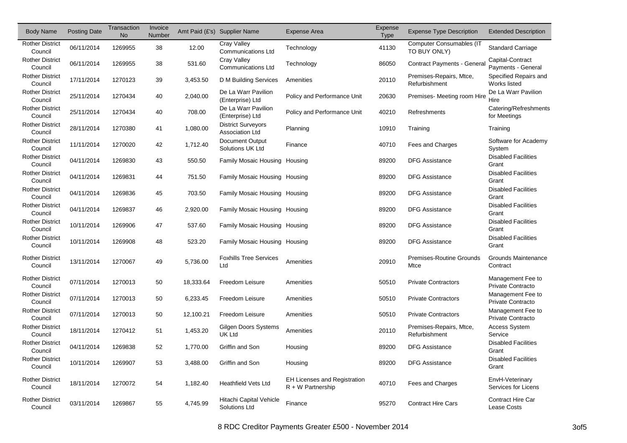| <b>Body Name</b>                  | <b>Posting Date</b> | Transaction<br><b>No</b> | Invoice<br>Number |           | Amt Paid (£'s) Supplier Name                        | Expense Area                                               | Expense<br><b>Type</b> | <b>Expense Type Description</b>                 | <b>Extended Description</b>                   |
|-----------------------------------|---------------------|--------------------------|-------------------|-----------|-----------------------------------------------------|------------------------------------------------------------|------------------------|-------------------------------------------------|-----------------------------------------------|
| <b>Rother District</b><br>Council | 06/11/2014          | 1269955                  | 38                | 12.00     | Cray Valley<br><b>Communications Ltd</b>            | Technology                                                 | 41130                  | <b>Computer Consumables (IT</b><br>TO BUY ONLY) | <b>Standard Carriage</b>                      |
| <b>Rother District</b><br>Council | 06/11/2014          | 1269955                  | 38                | 531.60    | Cray Valley<br><b>Communications Ltd</b>            | Technology                                                 | 86050                  | Contract Payments - General                     | Capital-Contract<br>Payments - General        |
| <b>Rother District</b><br>Council | 17/11/2014          | 1270123                  | 39                | 3,453.50  | D M Building Services                               | Amenities                                                  | 20110                  | Premises-Repairs, Mtce,<br>Refurbishment        | Specified Repairs and<br>Works listed         |
| <b>Rother District</b><br>Council | 25/11/2014          | 1270434                  | 40                | 2,040.00  | De La Warr Pavilion<br>(Enterprise) Ltd             | Policy and Performance Unit                                | 20630                  | Premises- Meeting room Hire                     | De La Warr Pavilion<br>Hire                   |
| <b>Rother District</b><br>Council | 25/11/2014          | 1270434                  | 40                | 708.00    | De La Warr Pavilion<br>(Enterprise) Ltd             | Policy and Performance Unit                                | 40210                  | Refreshments                                    | Catering/Refreshments<br>for Meetings         |
| <b>Rother District</b><br>Council | 28/11/2014          | 1270380                  | 41                | 1,080.00  | <b>District Surveyors</b><br><b>Association Ltd</b> | Planning                                                   | 10910                  | Training                                        | Training                                      |
| <b>Rother District</b><br>Council | 11/11/2014          | 1270020                  | 42                | 1,712.40  | Document Output<br>Solutions UK Ltd                 | Finance                                                    | 40710                  | Fees and Charges                                | Software for Academy<br>System                |
| <b>Rother District</b><br>Council | 04/11/2014          | 1269830                  | 43                | 550.50    | Family Mosaic Housing Housing                       |                                                            | 89200                  | <b>DFG Assistance</b>                           | <b>Disabled Facilities</b><br>Grant           |
| <b>Rother District</b><br>Council | 04/11/2014          | 1269831                  | 44                | 751.50    | Family Mosaic Housing Housing                       |                                                            | 89200                  | <b>DFG Assistance</b>                           | <b>Disabled Facilities</b><br>Grant           |
| <b>Rother District</b><br>Council | 04/11/2014          | 1269836                  | 45                | 703.50    | Family Mosaic Housing Housing                       |                                                            | 89200                  | <b>DFG Assistance</b>                           | <b>Disabled Facilities</b><br>Grant           |
| <b>Rother District</b><br>Council | 04/11/2014          | 1269837                  | 46                | 2,920.00  | Family Mosaic Housing Housing                       |                                                            | 89200                  | <b>DFG Assistance</b>                           | <b>Disabled Facilities</b><br>Grant           |
| <b>Rother District</b><br>Council | 10/11/2014          | 1269906                  | 47                | 537.60    | Family Mosaic Housing Housing                       |                                                            | 89200                  | <b>DFG Assistance</b>                           | <b>Disabled Facilities</b><br>Grant           |
| <b>Rother District</b><br>Council | 10/11/2014          | 1269908                  | 48                | 523.20    | Family Mosaic Housing Housing                       |                                                            | 89200                  | <b>DFG Assistance</b>                           | <b>Disabled Facilities</b><br>Grant           |
| <b>Rother District</b><br>Council | 13/11/2014          | 1270067                  | 49                | 5,736.00  | <b>Foxhills Tree Services</b><br>Ltd                | Amenities                                                  | 20910                  | Premises-Routine Grounds<br>Mtce                | Grounds Maintenance<br>Contract               |
| <b>Rother District</b><br>Council | 07/11/2014          | 1270013                  | 50                | 18,333.64 | Freedom Leisure                                     | Amenities                                                  | 50510                  | <b>Private Contractors</b>                      | Management Fee to<br><b>Private Contracto</b> |
| <b>Rother District</b><br>Council | 07/11/2014          | 1270013                  | 50                | 6,233.45  | Freedom Leisure                                     | Amenities                                                  | 50510                  | <b>Private Contractors</b>                      | Management Fee to<br><b>Private Contracto</b> |
| <b>Rother District</b><br>Council | 07/11/2014          | 1270013                  | 50                | 12,100.21 | Freedom Leisure                                     | Amenities                                                  | 50510                  | <b>Private Contractors</b>                      | Management Fee to<br><b>Private Contracto</b> |
| <b>Rother District</b><br>Council | 18/11/2014          | 1270412                  | 51                | 1,453.20  | Gilgen Doors Systems<br><b>UK Ltd</b>               | Amenities                                                  | 20110                  | Premises-Repairs, Mtce,<br>Refurbishment        | <b>Access System</b><br>Service               |
| <b>Rother District</b><br>Council | 04/11/2014          | 1269838                  | 52                | 1,770.00  | Griffin and Son                                     | Housing                                                    | 89200                  | <b>DFG Assistance</b>                           | <b>Disabled Facilities</b><br>Grant           |
| <b>Rother District</b><br>Council | 10/11/2014          | 1269907                  | 53                | 3,488.00  | Griffin and Son                                     | Housing                                                    | 89200                  | <b>DFG Assistance</b>                           | <b>Disabled Facilities</b><br>Grant           |
| <b>Rother District</b><br>Council | 18/11/2014          | 1270072                  | 54                | 1,182.40  | <b>Heathfield Vets Ltd</b>                          | <b>EH Licenses and Registration</b><br>$R + W$ Partnership | 40710                  | Fees and Charges                                | EnvH-Veterinary<br>Services for Licens        |
| <b>Rother District</b><br>Council | 03/11/2014          | 1269867                  | 55                | 4,745.99  | Hitachi Capital Vehicle<br>Solutions Ltd            | Finance                                                    | 95270                  | <b>Contract Hire Cars</b>                       | <b>Contract Hire Car</b><br>Lease Costs       |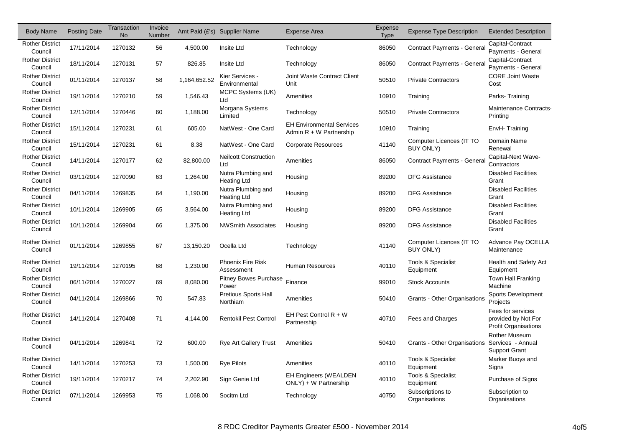| <b>Body Name</b>                  | <b>Posting Date</b> | Transaction<br><b>No</b> | Invoice<br>Number |              | Amt Paid (£'s) Supplier Name             | <b>Expense Area</b>                                           | Expense<br><b>Type</b> | <b>Expense Type Description</b>              | <b>Extended Description</b>                                       |
|-----------------------------------|---------------------|--------------------------|-------------------|--------------|------------------------------------------|---------------------------------------------------------------|------------------------|----------------------------------------------|-------------------------------------------------------------------|
| <b>Rother District</b><br>Council | 17/11/2014          | 1270132                  | 56                | 4,500.00     | Insite Ltd                               | Technology                                                    | 86050                  | <b>Contract Payments - General</b>           | Capital-Contract<br>Payments - General                            |
| <b>Rother District</b><br>Council | 18/11/2014          | 1270131                  | 57                | 826.85       | Insite Ltd                               | Technology                                                    | 86050                  | Contract Payments - General                  | Capital-Contract<br>Payments - General                            |
| <b>Rother District</b><br>Council | 01/11/2014          | 1270137                  | 58                | 1,164,652.52 | Kier Services -<br>Environmental         | Joint Waste Contract Client<br>Unit                           | 50510                  | <b>Private Contractors</b>                   | <b>CORE Joint Waste</b><br>Cost                                   |
| <b>Rother District</b><br>Council | 19/11/2014          | 1270210                  | 59                | 1,546.43     | MCPC Systems (UK)<br>Ltd                 | Amenities                                                     | 10910                  | Training                                     | Parks-Training                                                    |
| <b>Rother District</b><br>Council | 12/11/2014          | 1270446                  | 60                | 1,188.00     | Morgana Systems<br>Limited               | Technology                                                    | 50510                  | <b>Private Contractors</b>                   | Maintenance Contracts<br>Printing                                 |
| <b>Rother District</b><br>Council | 15/11/2014          | 1270231                  | 61                | 605.00       | NatWest - One Card                       | <b>EH Environmental Services</b><br>Admin $R + W$ Partnership | 10910                  | Training                                     | EnvH-Training                                                     |
| <b>Rother District</b><br>Council | 15/11/2014          | 1270231                  | 61                | 8.38         | NatWest - One Card                       | <b>Corporate Resources</b>                                    | 41140                  | Computer Licences (IT TO<br><b>BUY ONLY)</b> | Domain Name<br>Renewal                                            |
| <b>Rother District</b><br>Council | 14/11/2014          | 1270177                  | 62                | 82,800.00    | <b>Neilcott Construction</b><br>Ltd      | Amenities                                                     | 86050                  | Contract Payments - General                  | Capital-Next Wave-<br>Contractors                                 |
| <b>Rother District</b><br>Council | 03/11/2014          | 1270090                  | 63                | 1,264.00     | Nutra Plumbing and<br><b>Heating Ltd</b> | Housing                                                       | 89200                  | <b>DFG Assistance</b>                        | <b>Disabled Facilities</b><br>Grant                               |
| <b>Rother District</b><br>Council | 04/11/2014          | 1269835                  | 64                | 1,190.00     | Nutra Plumbing and<br><b>Heating Ltd</b> | Housing                                                       | 89200                  | <b>DFG Assistance</b>                        | <b>Disabled Facilities</b><br>Grant                               |
| <b>Rother District</b><br>Council | 10/11/2014          | 1269905                  | 65                | 3,564.00     | Nutra Plumbing and<br><b>Heating Ltd</b> | Housing                                                       | 89200                  | <b>DFG Assistance</b>                        | <b>Disabled Facilities</b><br>Grant                               |
| <b>Rother District</b><br>Council | 10/11/2014          | 1269904                  | 66                | 1,375.00     | <b>NWSmith Associates</b>                | Housing                                                       | 89200                  | <b>DFG Assistance</b>                        | <b>Disabled Facilities</b><br>Grant                               |
| <b>Rother District</b><br>Council | 01/11/2014          | 1269855                  | 67                | 13,150.20    | Ocella Ltd                               | Technology                                                    | 41140                  | Computer Licences (IT TO<br><b>BUY ONLY)</b> | Advance Pay OCELLA<br>Maintenance                                 |
| <b>Rother District</b><br>Council | 19/11/2014          | 1270195                  | 68                | 1,230.00     | Phoenix Fire Risk<br>Assessment          | <b>Human Resources</b>                                        | 40110                  | <b>Tools &amp; Specialist</b><br>Equipment   | Health and Safety Act<br>Equipment                                |
| <b>Rother District</b><br>Council | 06/11/2014          | 1270027                  | 69                | 8,080.00     | <b>Pitney Bowes Purchase</b><br>Power    | Finance                                                       | 99010                  | <b>Stock Accounts</b>                        | Town Hall Franking<br>Machine                                     |
| <b>Rother District</b><br>Council | 04/11/2014          | 1269866                  | 70                | 547.83       | Pretious Sports Hall<br>Northiam         | Amenities                                                     | 50410                  | Grants - Other Organisations                 | <b>Sports Development</b><br>Projects                             |
| <b>Rother District</b><br>Council | 14/11/2014          | 1270408                  | 71                | 4,144.00     | <b>Rentokil Pest Control</b>             | EH Pest Control R + W<br>Partnership                          | 40710                  | Fees and Charges                             | Fees for services<br>provided by Not For<br>Profit Organisations  |
| <b>Rother District</b><br>Council | 04/11/2014          | 1269841                  | 72                | 600.00       | <b>Rye Art Gallery Trust</b>             | Amenities                                                     | 50410                  | Grants - Other Organisations                 | <b>Rother Museum</b><br>Services - Annual<br><b>Support Grant</b> |
| <b>Rother District</b><br>Council | 14/11/2014          | 1270253                  | 73                | 1,500.00     | <b>Rye Pilots</b>                        | Amenities                                                     | 40110                  | Tools & Specialist<br>Equipment              | Marker Buoys and<br>Signs                                         |
| <b>Rother District</b><br>Council | 19/11/2014          | 1270217                  | 74                | 2,202.90     | Sign Genie Ltd                           | <b>EH Engineers (WEALDEN)</b><br>ONLY) + W Partnership        | 40110                  | Tools & Specialist<br>Equipment              | Purchase of Signs                                                 |
| <b>Rother District</b><br>Council | 07/11/2014          | 1269953                  | 75                | 1,068.00     | Socitm Ltd                               | Technology                                                    | 40750                  | Subscriptions to<br>Organisations            | Subscription to<br>Organisations                                  |